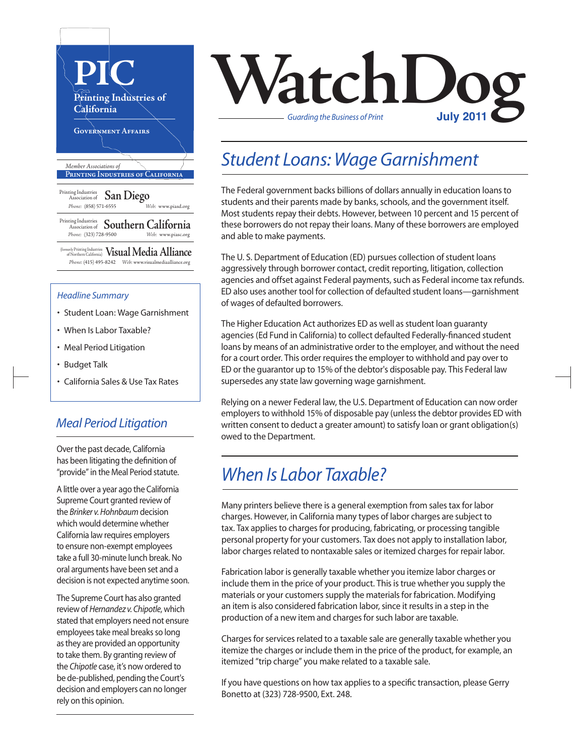

- Student Loan: Wage Garnishment
- When Is Labor Taxable?
- Meal Period Litigation
- Budget Talk
- California Sales & Use Tax Rates

#### *Meal Period Litigation*

Over the past decade, California has been litigating the definition of "provide" in the Meal Period statute.

A little over a year ago the California Supreme Court granted review of the *Brinker v. Hohnbaum* decision which would determine whether California law requires employers to ensure non-exempt employees take a full 30-minute lunch break. No oral arguments have been set and a decision is not expected anytime soon.

The Supreme Court has also granted review of *Hernandez v. Chipotle*, which stated that employers need not ensure employees take meal breaks so long as they are provided an opportunity to take them. By granting review of the *Chipotle* case, it's now ordered to be de-published, pending the Court's decision and employers can no longer rely on this opinion.



### *Student Loans: Wage Garnishment*

The Federal government backs billions of dollars annually in education loans to students and their parents made by banks, schools, and the government itself. Most students repay their debts. However, between 10 percent and 15 percent of these borrowers do not repay their loans. Many of these borrowers are employed and able to make payments.

The U.S. Department of Education (ED) pursues collection of student loans aggressively through borrower contact, credit reporting, litigation, collection agencies and offset against Federal payments, such as Federal income tax refunds. ED also uses another tool for collection of defaulted student loans—garnishment of wages of defaulted borrowers.

The Higher Education Act authorizes ED as well as student loan guaranty agencies(Ed Fund in California) to collect defaulted Federally-financed student loans by means of an administrative order to the employer, and without the need for a court order. This order requires the employer to withhold and pay over to ED or the guarantor up to 15% of the debtor's disposable pay. This Federal law supersedes any state law governing wage garnishment.

Relying on a newer Federal law, the U.S. Department of Education can now order employers to withhold 15% of disposable pay (unless the debtor provides ED with written consent to deduct a greater amount) to satisfy loan or grant obligation(s) owed to the Department.

## *When Is Labor Taxable?*

Many printers believe there is a general exemption from sales tax for labor charges. However, in California many types of labor charges are subject to tax. Tax applies to charges for producing, fabricating, or processing tangible personal property for your customers. Tax does not apply to installation labor, labor charges related to nontaxable sales or itemized charges for repair labor.

Fabrication labor is generally taxable whether you itemize labor charges or include them in the price of your product. This is true whether you supply the materials or your customers supply the materials for fabrication. Modifying an item is also considered fabrication labor, since it results in a step in the production of a new item and charges for such labor are taxable.

Charges for services related to a taxable sale are generally taxable whether you itemize the charges or include them in the price of the product, for example, an itemized "trip charge" you make related to a taxable sale.

If you have questions on how tax applies to a specific transaction, please Gerry Bonetto at (323) 728-9500, Ext. 248.